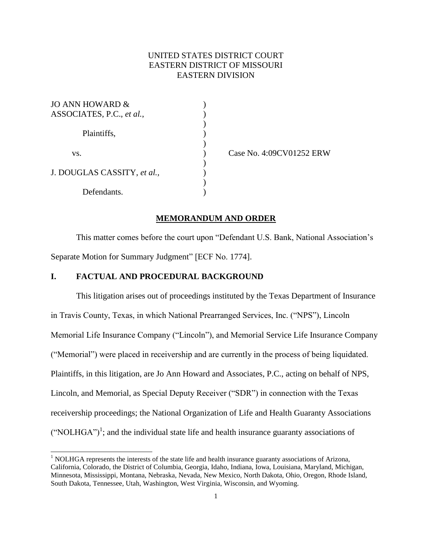# UNITED STATES DISTRICT COURT EASTERN DISTRICT OF MISSOURI EASTERN DIVISION

)

)

 $\mathcal{L}$ 

| JO ANN HOWARD &<br>ASSOCIATES, P.C., et al., |  |
|----------------------------------------------|--|
| Plaintiffs,                                  |  |
| VS.                                          |  |
| J. DOUGLAS CASSITY, et al.,                  |  |
| Defendants.                                  |  |

l

) Case No. 4:09CV01252 ERW

#### **MEMORANDUM AND ORDER**

This matter comes before the court upon "Defendant U.S. Bank, National Association's Separate Motion for Summary Judgment" [ECF No. 1774].

# **I. FACTUAL AND PROCEDURAL BACKGROUND**

This litigation arises out of proceedings instituted by the Texas Department of Insurance in Travis County, Texas, in which National Prearranged Services, Inc. ("NPS"), Lincoln Memorial Life Insurance Company ("Lincoln"), and Memorial Service Life Insurance Company ("Memorial") were placed in receivership and are currently in the process of being liquidated. Plaintiffs, in this litigation, are Jo Ann Howard and Associates, P.C., acting on behalf of NPS, Lincoln, and Memorial, as Special Deputy Receiver ("SDR") in connection with the Texas receivership proceedings; the National Organization of Life and Health Guaranty Associations  $("NOLHGA")<sup>1</sup>$ ; and the individual state life and health insurance guaranty associations of

 $<sup>1</sup>$  NOLHGA represents the interests of the state life and health insurance guaranty associations of Arizona,</sup> California, Colorado, the District of Columbia, Georgia, Idaho, Indiana, Iowa, Louisiana, Maryland, Michigan, Minnesota, Mississippi, Montana, Nebraska, Nevada, New Mexico, North Dakota, Ohio, Oregon, Rhode Island, South Dakota, Tennessee, Utah, Washington, West Virginia, Wisconsin, and Wyoming.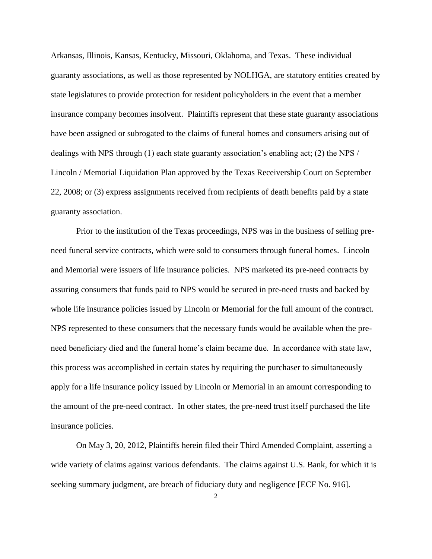Arkansas, Illinois, Kansas, Kentucky, Missouri, Oklahoma, and Texas. These individual guaranty associations, as well as those represented by NOLHGA, are statutory entities created by state legislatures to provide protection for resident policyholders in the event that a member insurance company becomes insolvent. Plaintiffs represent that these state guaranty associations have been assigned or subrogated to the claims of funeral homes and consumers arising out of dealings with NPS through (1) each state guaranty association's enabling act; (2) the NPS / Lincoln / Memorial Liquidation Plan approved by the Texas Receivership Court on September 22, 2008; or (3) express assignments received from recipients of death benefits paid by a state guaranty association.

Prior to the institution of the Texas proceedings, NPS was in the business of selling preneed funeral service contracts, which were sold to consumers through funeral homes. Lincoln and Memorial were issuers of life insurance policies. NPS marketed its pre-need contracts by assuring consumers that funds paid to NPS would be secured in pre-need trusts and backed by whole life insurance policies issued by Lincoln or Memorial for the full amount of the contract. NPS represented to these consumers that the necessary funds would be available when the preneed beneficiary died and the funeral home's claim became due. In accordance with state law, this process was accomplished in certain states by requiring the purchaser to simultaneously apply for a life insurance policy issued by Lincoln or Memorial in an amount corresponding to the amount of the pre-need contract. In other states, the pre-need trust itself purchased the life insurance policies.

On May 3, 20, 2012, Plaintiffs herein filed their Third Amended Complaint, asserting a wide variety of claims against various defendants. The claims against U.S. Bank, for which it is seeking summary judgment, are breach of fiduciary duty and negligence [ECF No. 916].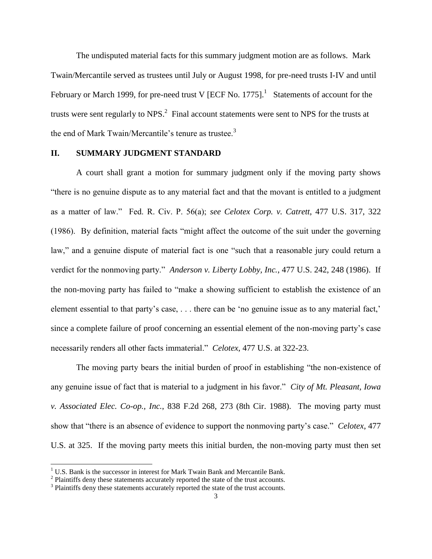The undisputed material facts for this summary judgment motion are as follows. Mark Twain/Mercantile served as trustees until July or August 1998, for pre-need trusts I-IV and until February or March 1999, for pre-need trust V [ECF No. 1775].<sup>1</sup> Statements of account for the trusts were sent regularly to NPS. $^2$  Final account statements were sent to NPS for the trusts at the end of Mark Twain/Mercantile's tenure as trustee.<sup>3</sup>

## **II. SUMMARY JUDGMENT STANDARD**

A court shall grant a motion for summary judgment only if the moving party shows "there is no genuine dispute as to any material fact and that the movant is entitled to a judgment as a matter of law." Fed. R. Civ. P. 56(a); *see Celotex Corp. v. Catrett*, 477 U.S. 317, 322 (1986). By definition, material facts "might affect the outcome of the suit under the governing law," and a genuine dispute of material fact is one "such that a reasonable jury could return a verdict for the nonmoving party." *Anderson v. Liberty Lobby, Inc.*, 477 U.S. 242, 248 (1986). If the non-moving party has failed to "make a showing sufficient to establish the existence of an element essential to that party's case, . . . there can be 'no genuine issue as to any material fact,' since a complete failure of proof concerning an essential element of the non-moving party's case necessarily renders all other facts immaterial." *Celotex*, 477 U.S. at 322-23.

The moving party bears the initial burden of proof in establishing "the non-existence of any genuine issue of fact that is material to a judgment in his favor." *City of Mt. Pleasant, Iowa v. Associated Elec. Co-op., Inc.*, 838 F.2d 268, 273 (8th Cir. 1988). The moving party must show that "there is an absence of evidence to support the nonmoving party's case." *Celotex*, 477 U.S. at 325. If the moving party meets this initial burden, the non-moving party must then set

 $\overline{\phantom{a}}$ 

 $1 \text{ U.S.}$  Bank is the successor in interest for Mark Twain Bank and Mercantile Bank.

 $2$  Plaintiffs deny these statements accurately reported the state of the trust accounts.

<sup>&</sup>lt;sup>3</sup> Plaintiffs deny these statements accurately reported the state of the trust accounts.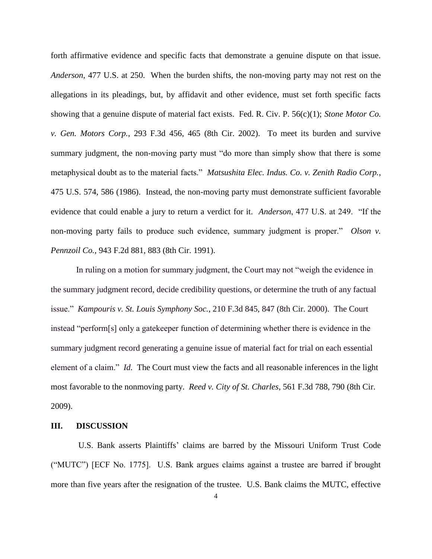forth affirmative evidence and specific facts that demonstrate a genuine dispute on that issue. *Anderson*, 477 U.S. at 250. When the burden shifts, the non-moving party may not rest on the allegations in its pleadings, but, by affidavit and other evidence, must set forth specific facts showing that a genuine dispute of material fact exists. Fed. R. Civ. P. 56(c)(1); *Stone Motor Co. v. Gen. Motors Corp.*, 293 F.3d 456, 465 (8th Cir. 2002). To meet its burden and survive summary judgment, the non-moving party must "do more than simply show that there is some metaphysical doubt as to the material facts." *Matsushita Elec. Indus. Co. v. Zenith Radio Corp.*, 475 U.S. 574, 586 (1986). Instead, the non-moving party must demonstrate sufficient favorable evidence that could enable a jury to return a verdict for it. *Anderson*, 477 U.S. at 249. "If the non-moving party fails to produce such evidence, summary judgment is proper." *Olson v. Pennzoil Co.*, 943 F.2d 881, 883 (8th Cir. 1991).

In ruling on a motion for summary judgment, the Court may not "weigh the evidence in the summary judgment record, decide credibility questions, or determine the truth of any factual issue." *Kampouris v. St. Louis Symphony Soc.*, 210 F.3d 845, 847 (8th Cir. 2000). The Court instead "perform[s] only a gatekeeper function of determining whether there is evidence in the summary judgment record generating a genuine issue of material fact for trial on each essential element of a claim." *Id.* The Court must view the facts and all reasonable inferences in the light most favorable to the nonmoving party. *Reed v. City of St. Charles*, 561 F.3d 788, 790 (8th Cir. 2009).

## **III. DISCUSSION**

U.S. Bank asserts Plaintiffs' claims are barred by the Missouri Uniform Trust Code ("MUTC") [ECF No. 1775]. U.S. Bank argues claims against a trustee are barred if brought more than five years after the resignation of the trustee. U.S. Bank claims the MUTC, effective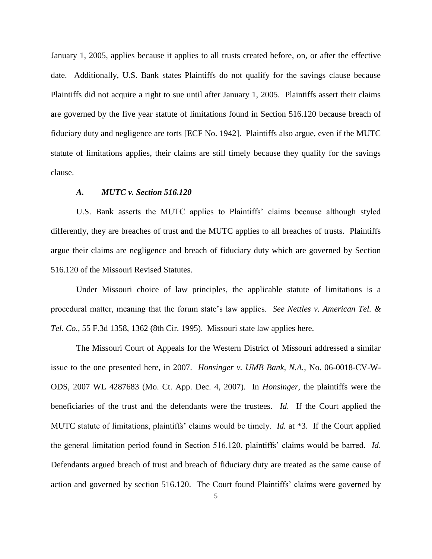January 1, 2005, applies because it applies to all trusts created before, on, or after the effective date. Additionally, U.S. Bank states Plaintiffs do not qualify for the savings clause because Plaintiffs did not acquire a right to sue until after January 1, 2005. Plaintiffs assert their claims are governed by the five year statute of limitations found in Section 516.120 because breach of fiduciary duty and negligence are torts [ECF No. 1942]. Plaintiffs also argue, even if the MUTC statute of limitations applies, their claims are still timely because they qualify for the savings clause.

## *A. MUTC v. Section 516.120*

U.S. Bank asserts the MUTC applies to Plaintiffs' claims because although styled differently, they are breaches of trust and the MUTC applies to all breaches of trusts. Plaintiffs argue their claims are negligence and breach of fiduciary duty which are governed by Section 516.120 of the Missouri Revised Statutes.

Under Missouri choice of law principles, the applicable statute of limitations is a procedural matter, meaning that the forum state's law applies. *See Nettles v. American Tel. & Tel. Co.*, 55 F.3d 1358, 1362 (8th Cir. 1995). Missouri state law applies here.

The Missouri Court of Appeals for the Western District of Missouri addressed a similar issue to the one presented here, in 2007. *Honsinger v. UMB Bank, N.A.*, No. 06-0018-CV-W-ODS, 2007 WL 4287683 (Mo. Ct. App. Dec. 4, 2007). In *Honsinger*, the plaintiffs were the beneficiaries of the trust and the defendants were the trustees. *Id*. If the Court applied the MUTC statute of limitations, plaintiffs' claims would be timely. *Id.* at \*3. If the Court applied the general limitation period found in Section 516.120, plaintiffs' claims would be barred. *Id*. Defendants argued breach of trust and breach of fiduciary duty are treated as the same cause of action and governed by section 516.120. The Court found Plaintiffs' claims were governed by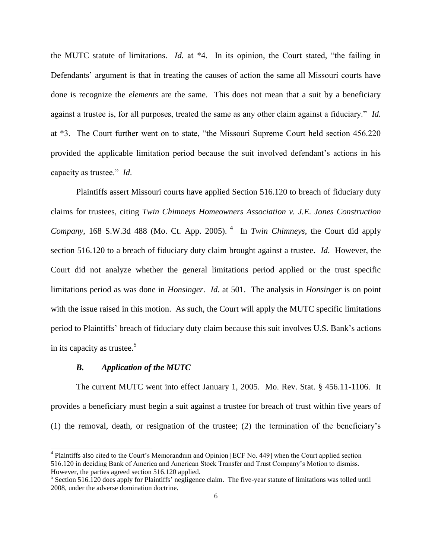the MUTC statute of limitations. *Id.* at \*4. In its opinion, the Court stated, "the failing in Defendants' argument is that in treating the causes of action the same all Missouri courts have done is recognize the *elements* are the same. This does not mean that a suit by a beneficiary against a trustee is, for all purposes, treated the same as any other claim against a fiduciary." *Id.* at \*3. The Court further went on to state, "the Missouri Supreme Court held section 456.220 provided the applicable limitation period because the suit involved defendant's actions in his capacity as trustee." *Id*.

Plaintiffs assert Missouri courts have applied Section 516.120 to breach of fiduciary duty claims for trustees, citing *Twin Chimneys Homeowners Association v. J.E. Jones Construction Company*, 168 S.W.3d 488 (Mo. Ct. App. 2005). <sup>4</sup> In *Twin Chimneys*, the Court did apply section 516.120 to a breach of fiduciary duty claim brought against a trustee. *Id*. However, the Court did not analyze whether the general limitations period applied or the trust specific limitations period as was done in *Honsinger*. *Id*. at 501. The analysis in *Honsinger* is on point with the issue raised in this motion. As such, the Court will apply the MUTC specific limitations period to Plaintiffs' breach of fiduciary duty claim because this suit involves U.S. Bank's actions in its capacity as trustee.<sup>5</sup>

#### *B. Application of the MUTC*

 $\overline{\phantom{a}}$ 

The current MUTC went into effect January 1, 2005. Mo. Rev. Stat. § 456.11-1106. It provides a beneficiary must begin a suit against a trustee for breach of trust within five years of (1) the removal, death, or resignation of the trustee; (2) the termination of the beneficiary's

<sup>&</sup>lt;sup>4</sup> Plaintiffs also cited to the Court's Memorandum and Opinion [ECF No. 449] when the Court applied section 516.120 in deciding Bank of America and American Stock Transfer and Trust Company's Motion to dismiss. However, the parties agreed section 516.120 applied.

<sup>&</sup>lt;sup>5</sup> Section 516.120 does apply for Plaintiffs' negligence claim. The five-year statute of limitations was tolled until 2008, under the adverse domination doctrine.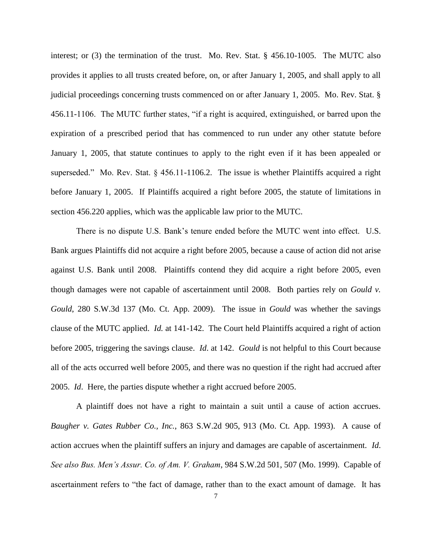interest; or (3) the termination of the trust. Mo. Rev. Stat. § 456.10-1005. The MUTC also provides it applies to all trusts created before, on, or after January 1, 2005, and shall apply to all judicial proceedings concerning trusts commenced on or after January 1, 2005. Mo. Rev. Stat. § 456.11-1106. The MUTC further states, "if a right is acquired, extinguished, or barred upon the expiration of a prescribed period that has commenced to run under any other statute before January 1, 2005, that statute continues to apply to the right even if it has been appealed or superseded." Mo. Rev. Stat. § 456.11-1106.2. The issue is whether Plaintiffs acquired a right before January 1, 2005. If Plaintiffs acquired a right before 2005, the statute of limitations in section 456.220 applies, which was the applicable law prior to the MUTC.

There is no dispute U.S. Bank's tenure ended before the MUTC went into effect. U.S. Bank argues Plaintiffs did not acquire a right before 2005, because a cause of action did not arise against U.S. Bank until 2008. Plaintiffs contend they did acquire a right before 2005, even though damages were not capable of ascertainment until 2008. Both parties rely on *Gould v. Gould*, 280 S.W.3d 137 (Mo. Ct. App. 2009). The issue in *Gould* was whether the savings clause of the MUTC applied. *Id.* at 141-142. The Court held Plaintiffs acquired a right of action before 2005, triggering the savings clause. *Id*. at 142. *Gould* is not helpful to this Court because all of the acts occurred well before 2005, and there was no question if the right had accrued after 2005. *Id*. Here, the parties dispute whether a right accrued before 2005.

A plaintiff does not have a right to maintain a suit until a cause of action accrues. *Baugher v. Gates Rubber Co., Inc.*, 863 S.W.2d 905, 913 (Mo. Ct. App. 1993). A cause of action accrues when the plaintiff suffers an injury and damages are capable of ascertainment. *Id*. *See also Bus. Men's Assur. Co. of Am. V. Graham*, 984 S.W.2d 501, 507 (Mo. 1999). Capable of ascertainment refers to "the fact of damage, rather than to the exact amount of damage. It has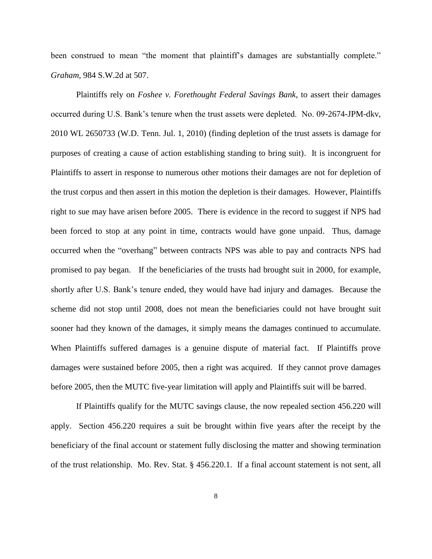been construed to mean "the moment that plaintiff's damages are substantially complete." *Graham*, 984 S.W.2d at 507.

Plaintiffs rely on *Foshee v. Forethought Federal Savings Bank*, to assert their damages occurred during U.S. Bank's tenure when the trust assets were depleted. No. 09-2674-JPM-dkv, 2010 WL 2650733 (W.D. Tenn. Jul. 1, 2010) (finding depletion of the trust assets is damage for purposes of creating a cause of action establishing standing to bring suit). It is incongruent for Plaintiffs to assert in response to numerous other motions their damages are not for depletion of the trust corpus and then assert in this motion the depletion is their damages. However, Plaintiffs right to sue may have arisen before 2005. There is evidence in the record to suggest if NPS had been forced to stop at any point in time, contracts would have gone unpaid. Thus, damage occurred when the "overhang" between contracts NPS was able to pay and contracts NPS had promised to pay began. If the beneficiaries of the trusts had brought suit in 2000, for example, shortly after U.S. Bank's tenure ended, they would have had injury and damages. Because the scheme did not stop until 2008, does not mean the beneficiaries could not have brought suit sooner had they known of the damages, it simply means the damages continued to accumulate. When Plaintiffs suffered damages is a genuine dispute of material fact. If Plaintiffs prove damages were sustained before 2005, then a right was acquired. If they cannot prove damages before 2005, then the MUTC five-year limitation will apply and Plaintiffs suit will be barred.

If Plaintiffs qualify for the MUTC savings clause, the now repealed section 456.220 will apply. Section 456.220 requires a suit be brought within five years after the receipt by the beneficiary of the final account or statement fully disclosing the matter and showing termination of the trust relationship. Mo. Rev. Stat. § 456.220.1. If a final account statement is not sent, all